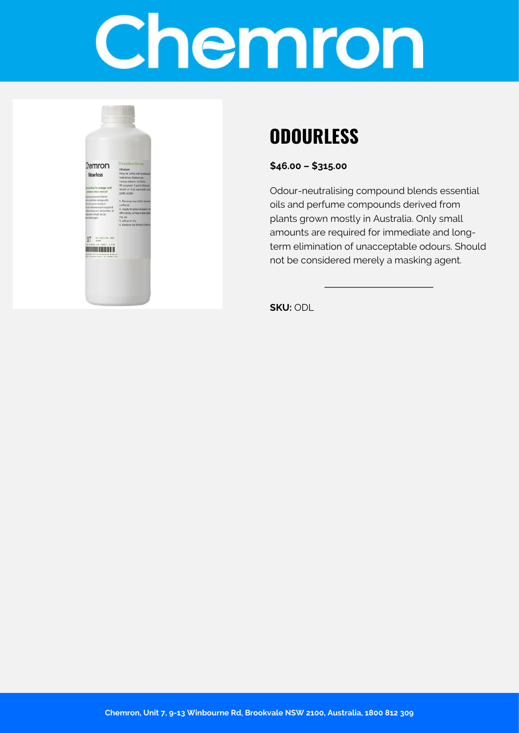# Chemron



## **ODOURLESS**

**\$46.00 – \$315.00**

Odour-neutralising compound blends essential oils and perfume compounds derived from plants grown mostly in Australia. Only small amounts are required for immediate and longterm elimination of unacceptable odours. Should not be considered merely a masking agent.

**SKU:** ODL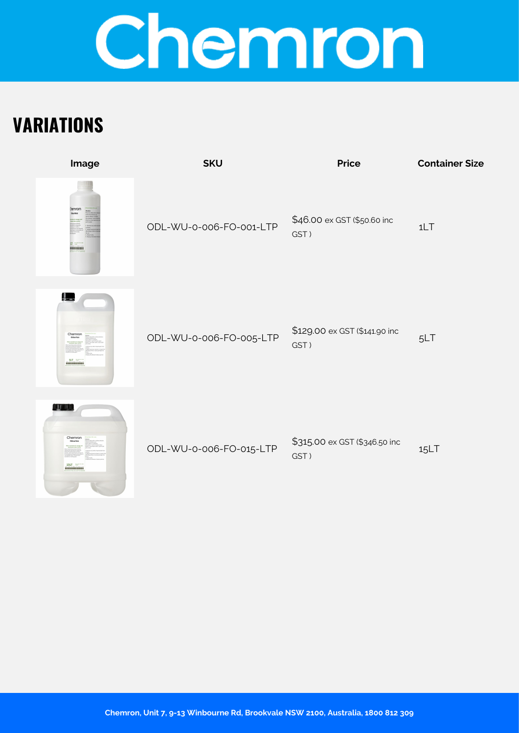# Chemron

## **VARIATIONS**

| Image                             | <b>SKU</b>              | <b>Price</b>                          | <b>Container Size</b> |
|-----------------------------------|-------------------------|---------------------------------------|-----------------------|
| hemror<br><b>MULLER 11</b>        | ODL-WU-0-006-FO-001-LTP | \$46.00 ex GST (\$50.60 inc<br>GST)   | 1LT                   |
| <u>le</u><br>Chemro               | ODL-WU-0-006-FO-005-LTP | \$129.00 ex GST (\$141.90 inc<br>GST) | 5LT                   |
| 11 I I I<br>Chemro<br><b>151T</b> | ODL-WU-0-006-FO-015-LTP | \$315.00 ex GST (\$346.50 inc<br>GST) | 15LT                  |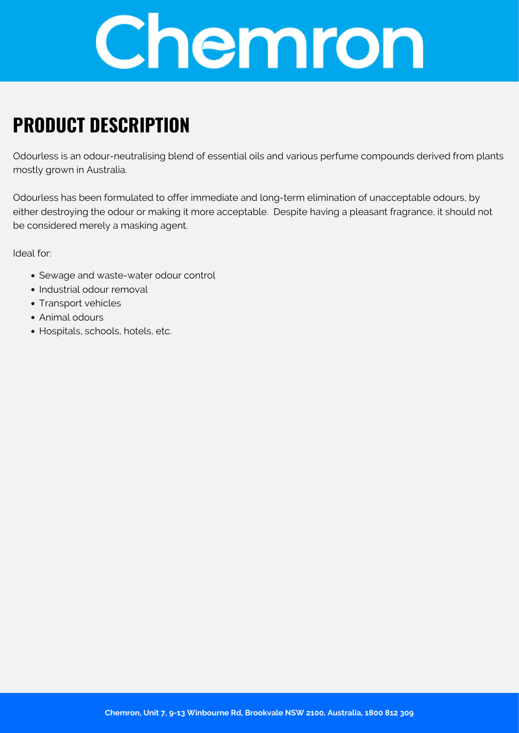

### **PRODUCT DESCRIPTION**

Odourless is an odour-neutralising blend of essential oils and various perfume compounds derived from plants mostly grown in Australia.

Odourless has been formulated to offer immediate and long-term elimination of unacceptable odours, by either destroying the odour or making it more acceptable. Despite having a pleasant fragrance, it should not be considered merely a masking agent.

Ideal for:

- Sewage and waste-water odour control
- Industrial odour removal
- Transport vehicles
- Animal odours
- Hospitals, schools, hotels, etc.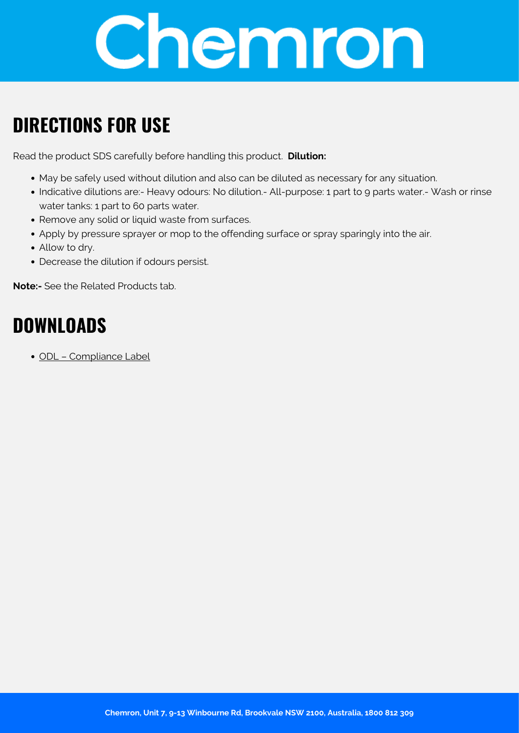

### **DIRECTIONS FOR USE**

Read the product SDS carefully before handling this product. **Dilution:**

- May be safely used without dilution and also can be diluted as necessary for any situation.
- Indicative dilutions are:- Heavy odours: No dilution.- All-purpose: 1 part to 9 parts water.- Wash or rinse water tanks: 1 part to 60 parts water.
- Remove any solid or liquid waste from surfaces.
- Apply by pressure sprayer or mop to the offending surface or spray sparingly into the air.
- Allow to dry.
- Decrease the dilution if odours persist.

**Note:-** See the Related Products tab.

#### **DOWNLOADS**

[ODL – Compliance Label](https://chemron.com.au/product-label/ODL - Compliance Label.pdf)